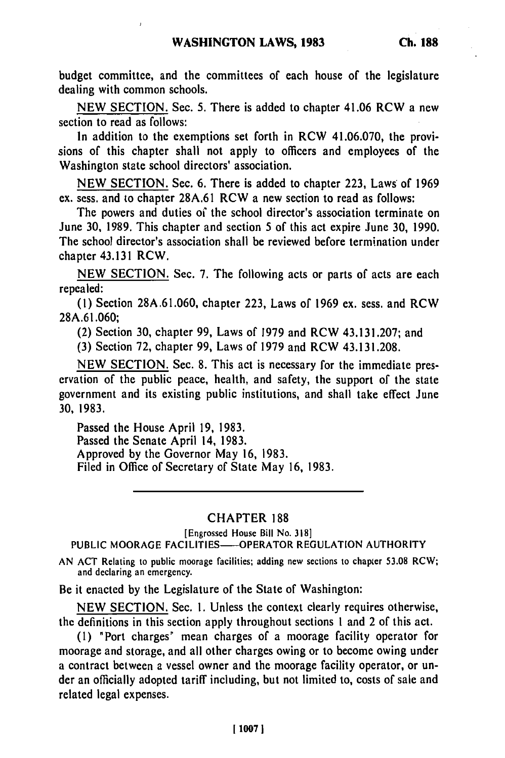budget committee, and the committees of each house of the legislature dealing with common schools.

**NEW SECTION.** Sec. **5.** There is added to chapter 41.06 RCW a new section to read as follows:

In addition to the exemptions set forth in RCW 41.06.070, the provisions of this chapter shall not apply to officers and employees of the Washington state school directors' association.

**NEW SECTION.** Sec. **6.** There is added to chapter **223,** Laws: of **1969** ex. sess. and to chapter **28A,61** RCW a new section to read as follows:

The powers and duties of the school director's association terminate on June **30, 1989.** This chapter and section 5 of this act expire June **30, 1990.** The school director's association shall be reviewed before termination under chapter 43.131 RCW.

**NEW SECTION.** Sec. **7.** The following acts or parts of acts are each repealed:

**(1)** Section **28A.61.060,** chapter **223,** Laws of **1969** ex. sess. and RCW 28A.61.060;

(2) Section **30,** chapter 99, Laws of **1979** and RCW 43.131.207; and

**(3)** Section **72,** chapter 99, Laws of 1979 and RCW 43.131.208.

NEW SECTION. Sec. 8. This act is necessary for the immediate preservation of the public peace, health, and safety, the support of the state government and its existing public institutions, and shall take effect June **30,** 1983.

Passed the House April **19,** 1983. Passed the Senate April 14, **1983.** Approved **by** the Governor May **16, 1983.** Filed in Office of Secretary of State May **16, 1983.**

## CHAPTER **188**

[Engrossed House Bill No. **318)**

**PUBLIC** MOORAGE FACILITIES-OPERATOR **REGULATION** AUTHORITY

**AN ACT** Relating to public moorage facilities; adding new sections to chapter **53.08** RCW; and declaring an emergency.

Be it enacted **by** the Legislature of the State of Washington:

**NEW** SECTION. Sec. **i.** Unless the context clearly requires otherwise, the definitions in this section apply throughout sections **1** and 2 of this act.

**(1)** "Port charges" mean charges of a moorage facility operator for moorage and storage, and all other charges owing or to become owing under a contract between a vessel owner and the moorage facility operator, or under an officially adopted tariff including, but not limited to, costs of sale and related legal expenses.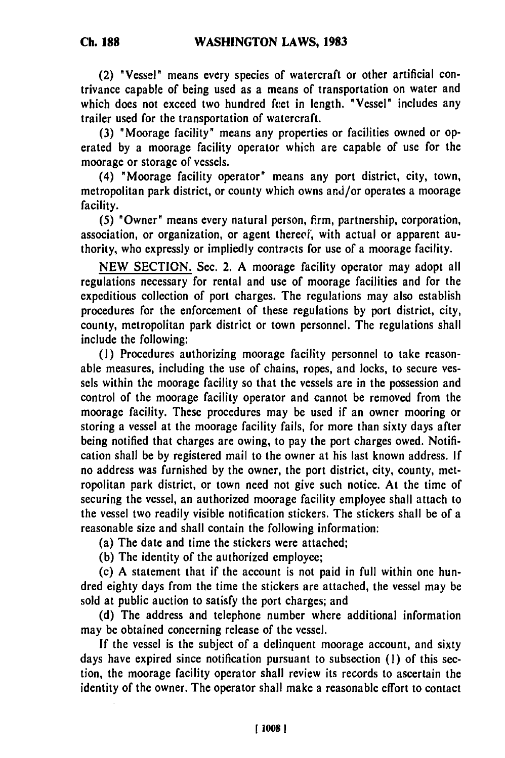(2) "Vessel" means every species of watercraft or other artificial contrivance capable of being used as a means of transportation on water and which does not exceed two hundred feet in length. "Vessel" includes any trailer used for the transportation of watercraft.

**(3)** "Moorage facility" means any properties or facilities owned or operated **by** a moorage facility operator which are capable of use for the moorage or storage of vessels.

(4) "Moorage facility operator" means any port district, city, town, metropolitan park district, or county which owns and/or operates a moorage facility.

**(5)** "Owner" means every natural person, firm, partnership, corporation, association, or organization, or agent therecf, with actual or apparent authority, who expressly or impliedly contracts for use of a moorage facility.

**NEW** SECTION. Sec. 2. **A** moorage facility operator may adopt all regulations necessary for rental and use of moorage facilities and for the expeditious collection of port charges. The regulations may also establish procedures for the enforcement of these regulations **by** port district, city, county, metropolitan park district or town personnel. The regulations shall include the following:

**(1)** Procedures authorizing moorage facility personnel to take reasonable measures, including the use of chains, ropes, and locks, to secure vessels within the moorage facility so that the vessels are in the possession and control of the moorage facility operator and cannot be removed from the moorage facility. These procedures may be used if an owner mooring or storing a vessel at the moorage facility fails, for more than sixty days after being notified that charges are owing, to pay the port charges owed. Notification shall **be by** registered mail to the owner at his last known address. **If** no address was furnished by the owner, the port district, city, county, metropolitan park district, or town need not give such notice. At the time of securing the vessel, an authorized moorage facility employee shall attach to the vessel two readily visible notification stickers. The stickers shall be of a reasonable size and shall contain the following information:

(a) The date and time the stickers were attached;

**(b)** The identity of the authorized employee;

(c) A statement that if the account is not paid in full within one hundred eighty days from the time the stickers are attached, the vessel may be sold at public auction to satisfy the port charges; and

**(d)** The address and telephone number where additional information may be obtained concerning release of the vessel.

If the vessel is the subject of a delinquent moorage account, and sixty days have expired since notification pursuant to subsection **(1)** of this section, the moorage facility operator shall review its records to ascertain the identity of the owner. The operator shall make a reasonable effort to contact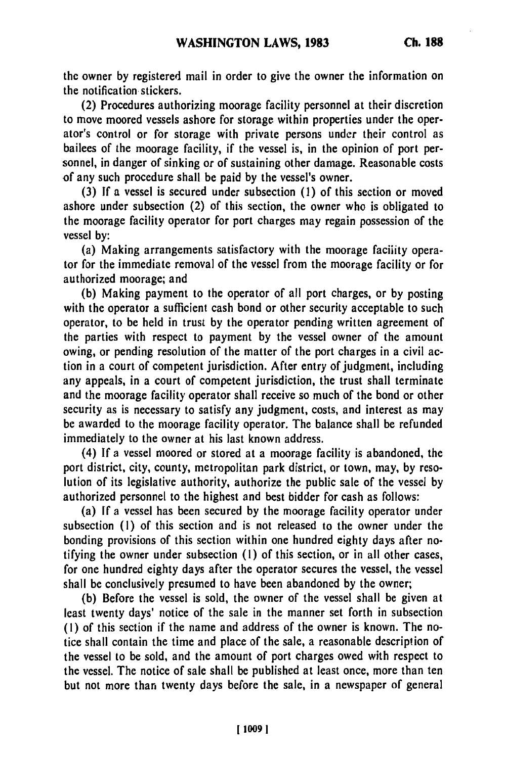the owner **by** registered mail in order to give the owner the information on the notification stickers.

(2) Procedures authorizing moorage facility personnel at their discretion to move moored vessels ashore for storage within properties under the operator's control or for storage with private persons under their control as bailees of the moorage facility, if the vessel is, in the opinion of port personnel, in danger of sinking or of sustaining other damage. Reasonable costs of any such procedure shall be paid **by** the vessel's owner.

**(3) If** a vessel is secured under subsection **(1)** of this section or moved ashore under subsection (2) of this section, the owner who is obligated to the moorage facility operator for port charges may regain possession of the vessel **by:**

(a) Making arrangements satisfactory with the moorage faciiity operator for the immediate removal of the vessel from the moorage facility or for authorized moorage; and

**(b)** Making payment to the operator of all port charges, or **by** posting with the operator a sufficient cash bond or other security acceptable to such operator, to be held in trust **by** the operator pending written agreement of the parties with respect to payment **by** the vessel owner of the amount owing, or pending resolution of the matter of the port charges in a civil action in a court of competent jurisdiction. After entry of judgment, including any appeals, in a court of competent jurisdiction, the trust shall terminate and the moorage facility operator shall receive so much of the bond or other security as is necessary to satisfy any judgment, costs, and interest as may **be** awarded to the moorage facility operator. The balance shall be refunded immediately to the owner at his last known address.

(4) **If** a vessel moored or stored at a moorage facility is abandoned, the port district, city, county, metropolitan park district, or town, may, by resolution of its legislative authority, authorize the public sale of the vessel **by** authorized personnel to the highest and best bidder for cash as follows:

(a) **If** a vessel has been secured **by** the moorage facility operator under subsection **(1)** of this section and is not released to the owner under the bonding provisions of this section within one hundred eighty days after notifying the owner under subsection **(1)** of this section, or in all other cases, for one hundred eighty days after the operator secures the vessel, the vessel shall be conclusively presumed to have been abandoned **by** the owner;

**(b)** Before the vessel is sold, the owner of the vessel shall be given at least twenty days' notice of the sale in the manner set forth in subsection **(1)** of this section if the name and address of the owner is known. The notice shall contain the time and place of the sale, a reasonable description of the vessel to be sold, and the amount of port charges owed with respect to the vessel. The notice of sale shall **be** published at least once, more than ten but not more than twenty days before the sale, in a newspaper of general